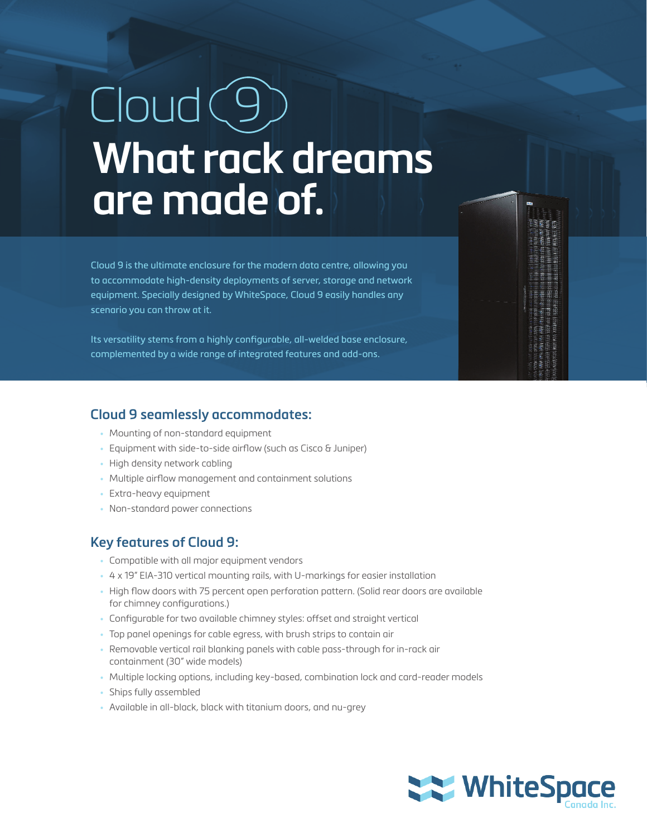# $C$ loud $(9)$ **What rack dreams are made of.**

Cloud 9 is the ultimate enclosure for the modern data centre, allowing you to accommodate high-density deployments of server, storage and network equipment. Specially designed by WhiteSpace, Cloud 9 easily handles any scenario you can throw at it.

Its versatility stems from a highly configurable, all-welded base enclosure, complemented by a wide range of integrated features and add-ons.

### **Cloud 9 seamlessly accommodates:**

- Mounting of non-standard equipment
- Equipment with side-to-side airflow (such as Cisco & Juniper)
- High density network cabling
- Multiple airflow management and containment solutions
- Extra-heavy equipment
- Non-standard power connections

### **Key features of Cloud 9:**

- Compatible with all major equipment vendors
- 4 x 19" EIA-310 vertical mounting rails, with U-markings for easier installation
- High flow doors with 75 percent open perforation pattern. (Solid rear doors are available for chimney configurations.)
- Configurable for two available chimney styles: offset and straight vertical
- Top panel openings for cable egress, with brush strips to contain air
- Removable vertical rail blanking panels with cable pass-through for in-rack air containment (30" wide models)
- Multiple locking options, including key-based, combination lock and card-reader models
- Ships fully assembled
- Available in all-black, black with titanium doors, and nu-grey